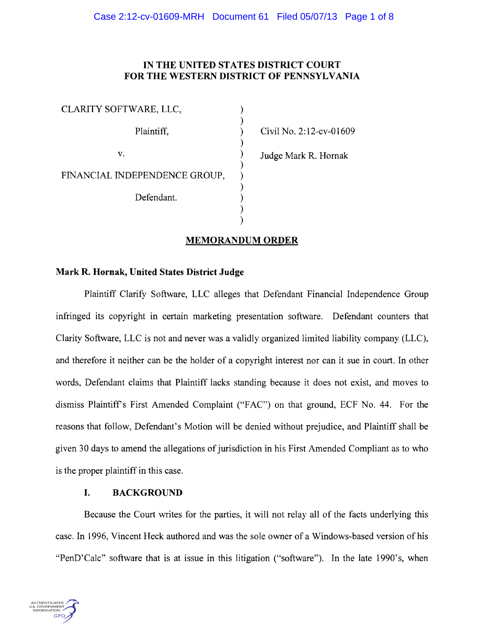# IN THE UNITED STATES DISTRICT COURT FOR THE WESTERN DISTRICT OF PENNSYLVANIA

| CLARITY SOFTWARE, LLC,        |  |
|-------------------------------|--|
| Plaintiff,                    |  |
| V.                            |  |
| FINANCIAL INDEPENDENCE GROUP, |  |
| Defendant.                    |  |
|                               |  |

Civil No. 2:12-cv-01609

Judge Mark R. Hornak

# MEMORANDUM ORDER

# Mark R. Hornak, United States District Judge

Plaintiff Clarify Software, LLC alleges that Defendant Financial Independence Group infringed its copyright in certain marketing presentation software. Defendant counters that Clarity Software, LLC is not and never was a validly organized limited liability company (LLC), and therefore it neither can be the holder of a copyright interest nor can it sue in court. In other words, Defendant claims that Plaintiff lacks standing because it does not exist, and moves to dismiss Plaintiffs First Amended Complaint ("FAC") on that ground, ECF No. 44. For the reasons that follow, Defendant's Motion will be denied without prejudice, and Plaintiff shall be given 30 days to amend the allegations of jurisdiction in his First Amended Compliant as to who is the proper plaintiff in this case.

# I. BACKGROUND

Because the Court writes for the parties, it will not relay all of the facts underlying this case. In 1996, Vincent Heck authored and was the sole owner of a Windows-based version of his "PenD'Calc" software that is at issue in this litigation ("software"). In the late 1990's, when

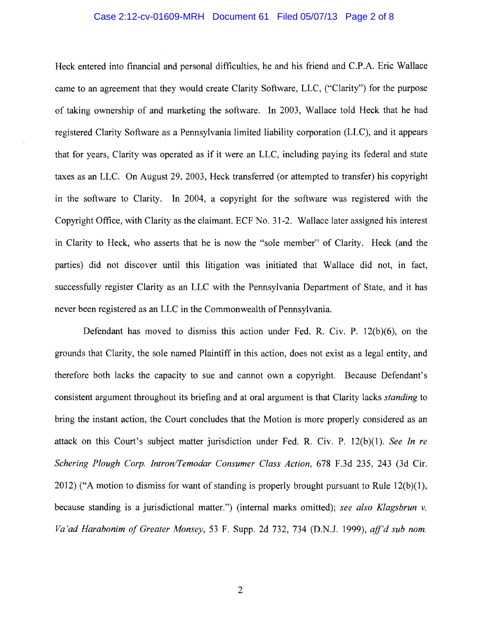#### Case 2:12-cv-01609-MRH Document 61 Filed 05/07/13 Page 2 of 8

Heck entered into financial and personal difficulties, he and his friend and C.P.A. Eric Wallace came to an agreement that they would create Clarity Software, LLC, ("Clarity") for the purpose of taking ownership of and marketing the software. In 2003, Wallace told Heck that he had registered Clarity Software as a Pennsylvania limited liability corporation (LLC), and it appears that for years, Clarity was operated as if it were an LLC, including paying its federal and state taxes as an LLC. On August 29,2003, Heck transferred (or attempted to transfer) his copyright in the software to Clarity. In 2004, a copyright for the software was registered with the Copyright Office, with Clarity as the claimant. ECF No. 31-2. Wallace later assigned his interest in Clarity to Heck, who asserts that he is now the "sole member" of Clarity. Heck (and the parties) did not discover until this litigation was initiated that Wallace did not, in fact, successfully register Clarity as an LLC with the Pennsylvania Department of State, and it has never been registered as an LLC in the Commonwealth of Pennsylvania.

Defendant has moved to dismiss this action under Fed. R. Civ. P. 12(b)(6), on the grounds that Clarity, the sole named Plaintiff in this action, does not exist as a legal entity, and therefore both lacks the capacity to sue and cannot own a copyright. Because Defendant's consistent argument throughout its briefing and at oral argument is that Clarity lacks *standing* to bring the instant action, the Court concludes that the Motion is more properly considered as an attack on this Court's subject matter jurisdiction under Fed. R. Civ. P. 12(b)(1). *See In re*  Schering Plough Corp. Intron/Temodar Consumer Class Action, 678 F.3d 235, 243 (3d Cir. 2012) ("A motion to dismiss for want of standing is properly brought pursuant to Rule 12(b)(1), because standing is a jurisdictional matter.") (internal marks omitted); *see also Klagsbrun* v. *Va 'ad Harabonim o/Greater Monsey,* 53 F. Supp. 2d 732,734 (D.N.J. 1999), *aff'd sub nom.*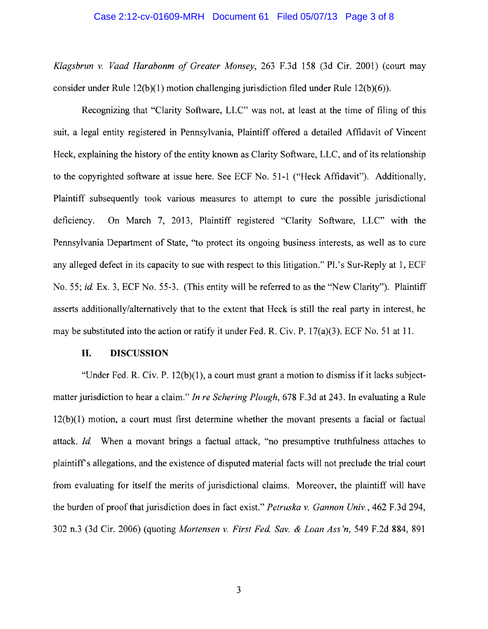### Case 2:12-cv-01609-MRH Document 61 Filed 05/07/13 Page 3 of 8

*Klagsbrun* v. *Vaad Harabonm of Greater Monsey,* 263 F.3d 158 (3d Cir. 2001) (court may consider under Rule I2(b)(1) motion challenging jurisdiction filed under Rule I2(b)(6)).

Recognizing that "Clarity Software, LLC" was not, at least at the time of filing of this suit, a legal entity registered in Pennsylvania, Plaintiff offered a detailed Affidavit of Vincent Heck, explaining the history of the entity known as Clarity Software, LLC, and of its relationship to the copyrighted software at issue here. See ECF No. 51-1 ("Heck Affidavit"). Additionally, Plaintiff subsequently took various measures to attempt to cure the possible jurisdictional deficiency. On March 7, 2013, Plaintiff registered "Clarity Software, LLC" with the Pennsylvania Department of State, "to protect its ongoing business interests, as well as to cure any alleged defect in its capacity to sue with respect to this litigation." Pl.'s Sur-Reply at 1, ECF No. 55; *id* Ex. 3, ECF No. 55-3. (This entity will be referred to as the "New Clarity"). Plaintiff asserts additionally/alternatively that to the extent that Heck is still the real party in interest, he may be substituted into the action or ratify it under Fed. R. Civ. P. 17(a)(3). ECF No. 51 at 11.

## **II. DISCUSSION**

"Under Fed. R. Civ. P.  $12(b)(1)$ , a court must grant a motion to dismiss if it lacks subjectmatter jurisdiction to hear a claim." *In re Schering Plough,* 678 F.3d at 243. In evaluating a Rule 12(b)(1) motion, a court must first determine whether the movant presents a facial or factual attack. *Id* When a movant brings a factual attack, "no presumptive truthfulness attaches to plaintiffs allegations, and the existence of disputed material facts will not preclude the trial court from evaluating for itself the merits of jurisdictional claims. Moreover, the plaintiff will have the burden of proof that jurisdiction does in fact exist." *Petruska* v. *Gannon Univ.,* 462 F.3d 294, 302 n.3 (3d Cir. 2006) (quoting *Mortensen* v. *First Fed Sav.* & *Loan Ass 'n,* 549 F.2d 884, 891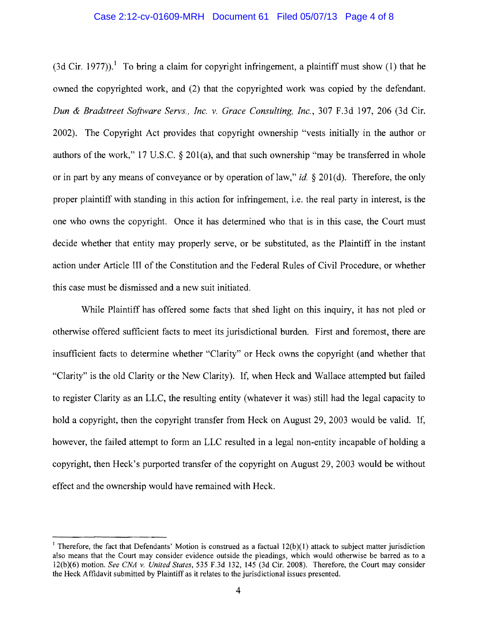### Case 2:12-cv-01609-MRH Document 61 Filed 05/07/13 Page 4 of 8

(3d Cir. 1977)).<sup>1</sup> To bring a claim for copyright infringement, a plaintiff must show (1) that he owned the copyrighted work, and (2) that the copyrighted work was copied by the defendant. *Dun* & *Bradstreet Software Servs" Inc,* v. *Grace Consulting, Inc.,* 307 F.3d 197,206 (3d Cir. 2002). The Copyright Act provides that copyright ownership "vests initially in the author or authors of the work," 17 U,S.c. § 201(a), and that such ownership "may be transferred in whole or in part by any means of conveyance or by operation of law," *id.* § 201 (d). Therefore, the only proper plaintiff with standing in this action for infringement, i.e. the real party in interest, is the one who owns the copyright. Once it has determined who that is in this case, the Court must decide whether that entity may properly serve, or be substituted, as the Plaintiff in the instant action under Article III of the Constitution and the Federal Rules of Civil Procedure, or whether this case must be dismissed and a new suit initiated,

While Plaintiff has offered some facts that shed light on this inquiry, it has not pled or otherwise offered sufficient facts to meet its jurisdictional burden. First and foremost, there are insufficient facts to determine whether "Clarity" or Heck owns the copyright (and whether that "Clarity" is the old Clarity or the New Clarity). If, when Heck and Wallace attempted but failed to register Clarity as an LLC, the resulting entity (whatever it was) still had the legal capacity to hold a copyright, then the copyright transfer from Heck on August 29, 2003 would be valid. If, however, the failed attempt to form an LLC resulted in a legal non-entity incapable of holding a copyright, then Heck's purported transfer of the copyright on August 29, 2003 would be without effect and the ownership would have remained with Heck.

Therefore, the fact that Defendants' Motion is construed as a factual  $12(b)(1)$  attack to subject matter jurisdiction also means that the Court may consider evidence outside the pleadings, which would otherwise be barred as to a 12(b)(6) motion. *See CNA v. United States,* 535 F.3d 132, 145 (3d Cir. 2008). Therefore, the Court may consider the Heck Affidavit submitted by Plaintiff as it relates to the jurisdictional issues presented.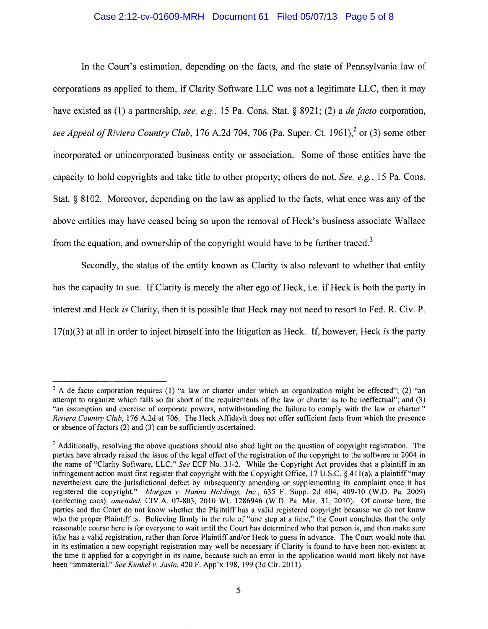## Case 2:12-cv-01609-MRH Document 61 Filed 05/07/13 Page 5 of 8

In the Court's estimation, depending on the facts, and the state of Pennsylvania law of corporations as applied to them, if Clarity Software LLC was not a legitimate LLC, then it may have existed as (l) a partnership, *see, e.g.,* 15 Pa. Cons. Stat. § 8921; (2) a *de facto* corporation, *see Appeal of Riviera Country Club, 176 A.2d 704, 706 (Pa. Super. Ct. 1961)*,<sup>2</sup> or (3) some other incorporated or unincorporated business entity or association. Some of those entities have the capacity to hold copyrights and take title to other property; others do not. *See, e.g.,* 15 Pa. Cons. Stat. § 8102. Moreover, depending on the law as applied to the facts, what once was any of the above entities may have ceased being so upon the removal of Heck's business associate Wallace from the equation, and ownership of the copyright would have to be further traced.<sup>3</sup>

Secondly, the status of the entity known as Clarity is also relevant to whether that entity has the capacity to sue. If Clarity is merely the alter ego of Heck, i.e. if Heck is both the party in interest and Heck *is* Clarity, then it is possible that Heck may not need to resort to Fed. R. Civ. P. 17(a)(3) at all in order to inject himself into the litigation as Heck. If, however, Heck *is* the party

 $2$  A de facto corporation requires (1) "a law or charter under which an organization might be effected"; (2) "an attempt to organize which falls so far short of the requirements of the law or charter as to be ineffectual"; and (3) "an assumption and exercise of corporate powers, notwithstanding the failure to comply with the law or charter." *Riviera Country Club,* 176 A.2d at 706. The Heck Affidavit does not offer sufficient facts from which the presence or absence offactors (2) and (3) can be sufficiently ascertained.

<sup>&</sup>lt;sup>3</sup> Additionally, resolving the above questions should also shed light on the question of copyright registration. The parties have already raised the issue of the legal effect of the registration of the copyright to the software in 2004 in the name of "Clarity Software, LLC." *See* ECF No. 31-2. While the Copyright Act provides that a plaintiff in an infringement action must first register that copyright with the Copyright Office, 17 U.S.C. § 411(a), a plaintiff "may nevertheless cure the jurisdictional defect by subsequently amending or supplementing its complaint once it has registered the copyright." *Morgan* v. *Hanna Holdings, inc.,* 635 F. Supp. 2d 404, 409-10 (W.D. Pa. 2009) (collecting caes), *amended,* ClV.A. 07-803, 2010 WL 1286946 (W.D. Pa. Mar. 31,2010). Of course here, the parties and the Court do not know whether the Plaintiff has a valid registered copyright because we do not know who the proper Plaintiff is. Believing firmly in the rule of "one step at a time," the Court concludes that the only reasonable course here is for everyone to wait until the Court has determined who that person is, and then make sure it/he has a valid registration, rather than force Plaintiff and/or Heck to guess in advance. The Court would note that in its estimation a new copyright registration may well be necessary if Clarity is found to have been non-existent at the time it applied for a copyright in its name, because such an error in the application would most likely not have been "immaterial." *See Kunkel* v. *Jasin,* 420 F. App 'x 198, 199 (3d Cir. 20 11).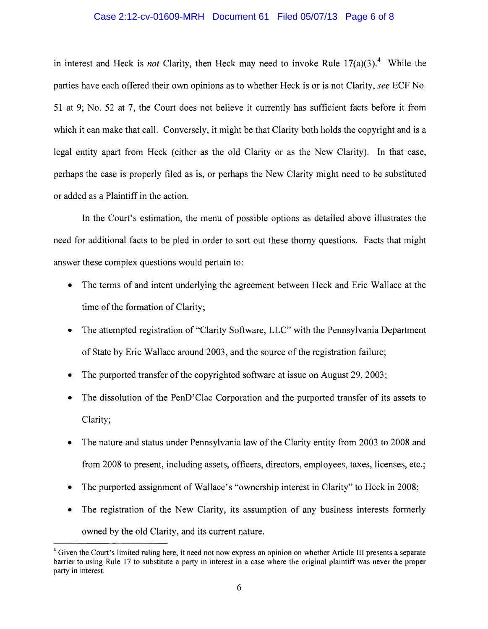### Case 2:12-cv-01609-MRH Document 61 Filed 05/07/13 Page 6 of 8

in interest and Heck is *not* Clarity, then Heck may need to invoke Rule  $17(a)(3)$ .<sup>4</sup> While the parties have each offered their own opinions as to whether Heck is or is not Clarity, *see* ECF No. 51 at 9; No. 52 at 7, the Court does not believe it currently has sufficient facts before it from which it can make that call. Conversely, it might be that Clarity both holds the copyright and is a legal entity apart from Heck (either as the old Clarity or as the New Clarity). In that case, perhaps the case is properly filed as is, or perhaps the New Clarity might need to be substituted or added as a Plaintiff in the action.

In the Court's estimation, the menu of possible options as detailed above illustrates the need for additional facts to be pled in order to sort out these thorny questions. Facts that might answer these complex questions would pertain to:

- The terms of and intent underlying the agreement between Heck and Eric Wallace at the time of the formation of Clarity;
- The attempted registration of "Clarity Software, LLC" with the Pennsylvania Department of State by Eric Wallace around 2003, and the source of the registration failure;
- The purported transfer of the copyrighted software at issue on August 29, 2003;
- The dissolution of the PenD'Clac Corporation and the purported transfer of its assets to Clarity;
- The nature and status under Pennsylvania law of the Clarity entity from 2003 to 2008 and from 2008 to present, including assets, officers, directors, employees, taxes, licenses, etc.;
- The purported assignment of Wallace's "ownership interest in Clarity" to Heck in 2008;
- The registration of the New Clarity, its assumption of any business interests formerly owned by the old Clarity, and its current nature.

<sup>&</sup>lt;sup>4</sup> Given the Court's limited ruling here, it need not now express an opinion on whether Article III presents a separate barrier to using Rule 17 to substitute a party in interest in a case where the original plaintiff was never the proper party in interest.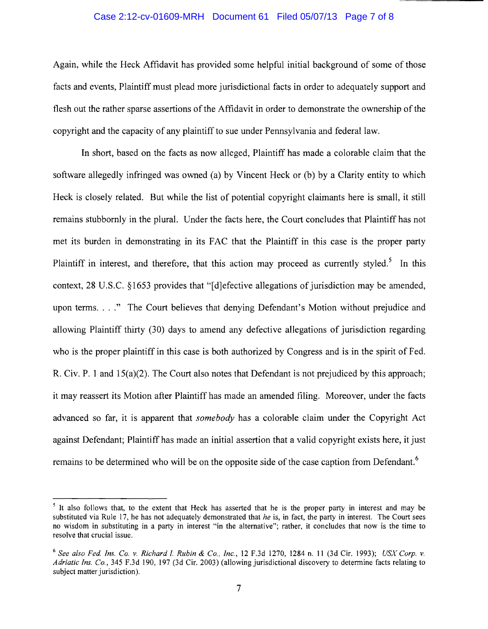## Case 2:12-cv-01609-MRH Document 61 Filed 05/07/13 Page 7 of 8

Again, while the Heck Affidavit has provided some helpful initial background of some of those facts and events, Plaintiff must plead more jurisdictional facts in order to adequately support and flesh out the rather sparse assertions of the Affidavit in order to demonstrate the ownership of the copyright and the capacity of any plaintiff to sue under Pennsylvania and federal law.

In short, based on the facts as now alleged, Plaintiff has made a colorable claim that the software allegedly infringed was owned (a) by Vincent Heck or (b) by a Clarity entity to which Heck is closely related. But while the list of potential copyright claimants here is small, it still remains stubbornly in the plural. Under the facts here, the Court concludes that Plaintiff has not met its burden in demonstrating in its FAC that the Plaintiff in this case is the proper party Plaintiff in interest, and therefore, that this action may proceed as currently styled.<sup>5</sup> In this context,  $28 \text{ U.S.C. }$  §1653 provides that "[d]efective allegations of jurisdiction may be amended, upon terms...." The Court believes that denying Defendant's Motion without prejudice and allowing Plaintiff thirty (30) days to amend any defective allegations of jurisdiction regarding who is the proper plaintiff in this case is both authorized by Congress and is in the spirit of Fed. R. Civ. P. 1 and 15(a)(2). The Court also notes that Defendant is not prejudiced by this approach; it may reassert its Motion after Plaintiff has made an amended filing. Moreover, under the facts advanced so far, it is apparent that *somebody* has a colorable claim under the Copyright Act against Defendant; Plaintiff has made an initial assertion that a valid copyright exists here, it just remains to be determined who will be on the opposite side of the case caption from Defendant. 6

<sup>&</sup>lt;sup>5</sup> It also follows that, to the extent that Heck has asserted that he is the proper party in interest and may be substituted via Rule 17, he has not adequately demonstrated that *he* is, in fact, the party in interest. The Court sees no wisdom in substituting in a party in interest "in the alternative"; rather, it concludes that now is the time to resolve that crucial issue.

*<sup>6</sup> See also Fed. Ins. Co.* v. *Richard l. Rubin* & *Co., Inc.,* 12 F.3d 1270, 1284 n. 11 (3d Cir. 1993); *USX Corp.* v. *Adriatic Ins. Co.,* 345 F.3d 190, 197 (3d Cir. 2003) (allowing jurisdictional discovery to determine facts relating to subject matter jurisdiction).